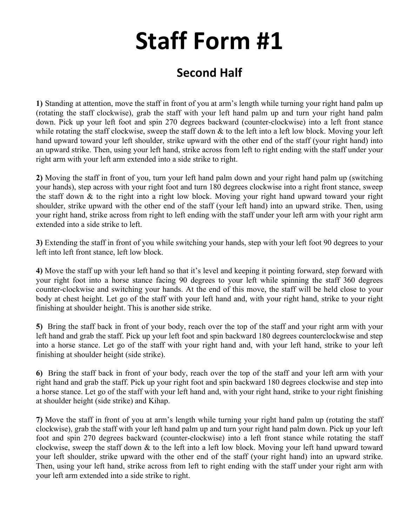## **Staff Form #1**

## **Second Half**

**1)** Standing at attention, move the staff in front of you at arm's length while turning your right hand palm up (rotating the staff clockwise), grab the staff with your left hand palm up and turn your right hand palm down. Pick up your left foot and spin 270 degrees backward (counter-clockwise) into a left front stance while rotating the staff clockwise, sweep the staff down  $\&$  to the left into a left low block. Moving your left hand upward toward your left shoulder, strike upward with the other end of the staff (your right hand) into an upward strike. Then, using your left hand, strike across from left to right ending with the staff under your right arm with your left arm extended into a side strike to right.

**2)** Moving the staff in front of you, turn your left hand palm down and your right hand palm up (switching your hands), step across with your right foot and turn 180 degrees clockwise into a right front stance, sweep the staff down & to the right into a right low block. Moving your right hand upward toward your right shoulder, strike upward with the other end of the staff (your left hand) into an upward strike. Then, using your right hand, strike across from right to left ending with the staff under your left arm with your right arm extended into a side strike to left.

**3)** Extending the staff in front of you while switching your hands, step with your left foot 90 degrees to your left into left front stance, left low block.

**4)** Move the staff up with your left hand so that it's level and keeping it pointing forward, step forward with your right foot into a horse stance facing 90 degrees to your left while spinning the staff 360 degrees counter-clockwise and switching your hands. At the end of this move, the staff will be held close to your body at chest height. Let go of the staff with your left hand and, with your right hand, strike to your right finishing at shoulder height. This is another side strike.

**5)** Bring the staff back in front of your body, reach over the top of the staff and your right arm with your left hand and grab the staff. Pick up your left foot and spin backward 180 degrees counterclockwise and step into a horse stance. Let go of the staff with your right hand and, with your left hand, strike to your left finishing at shoulder height (side strike).

**6)** Bring the staff back in front of your body, reach over the top of the staff and your left arm with your right hand and grab the staff. Pick up your right foot and spin backward 180 degrees clockwise and step into a horse stance. Let go of the staff with your left hand and, with your right hand, strike to your right finishing at shoulder height (side strike) and Kihap.

**7)** Move the staff in front of you at arm's length while turning your right hand palm up (rotating the staff clockwise), grab the staff with your left hand palm up and turn your right hand palm down. Pick up your left foot and spin 270 degrees backward (counter-clockwise) into a left front stance while rotating the staff clockwise, sweep the staff down & to the left into a left low block. Moving your left hand upward toward your left shoulder, strike upward with the other end of the staff (your right hand) into an upward strike. Then, using your left hand, strike across from left to right ending with the staff under your right arm with your left arm extended into a side strike to right.